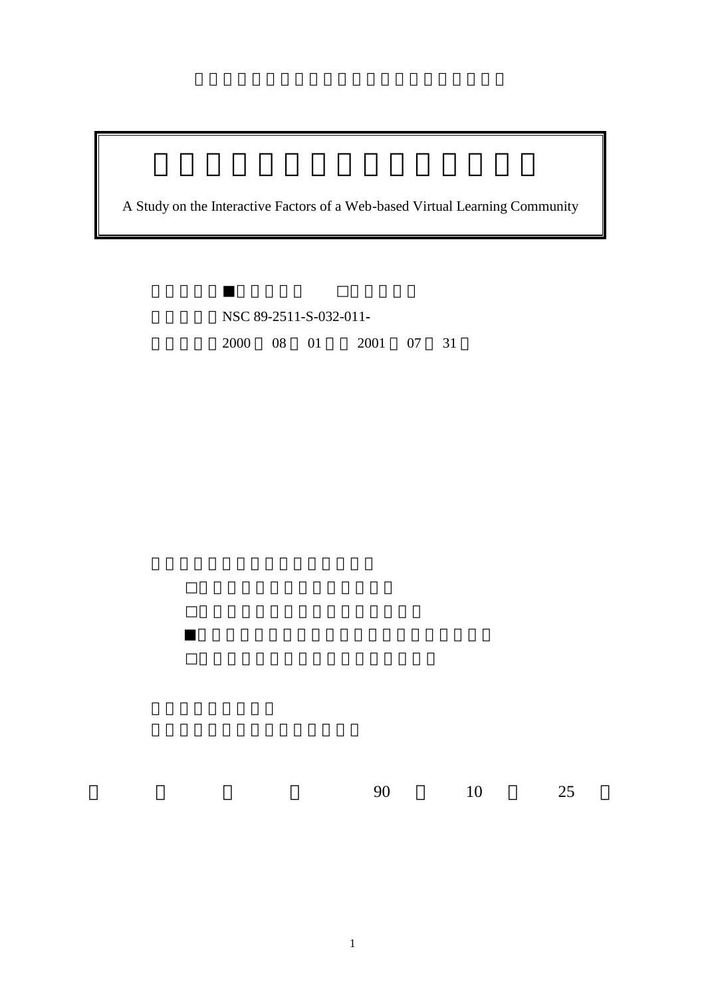A Study on the Interactive Factors of a Web-based Virtual Learning Community

計畫編號:NSC 89-2511-S-032-011**-** 2000 08 01 2001 07 31

90 10 25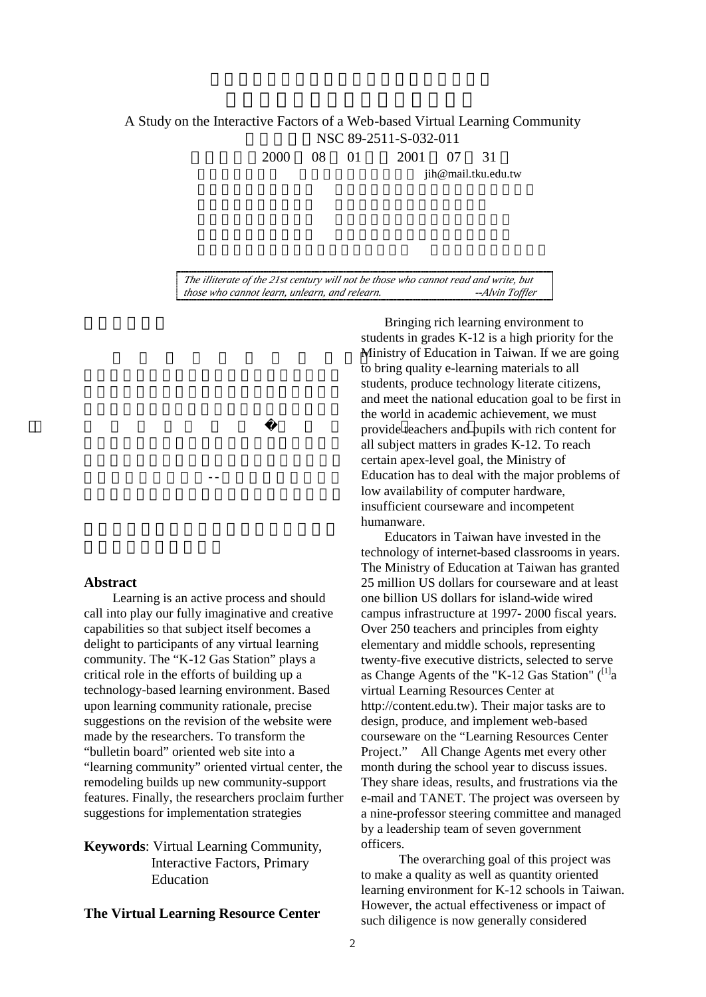# A Study on the Interactive Factors of a Web-based Virtual Learning Community 計畫編號:NSC 89-2511-S-032-011

2000 08 01 2001 07 31

jih@mail.tku.edu.tw

*The illiterate of the 21st century will not be those who cannot read and write, but those who cannot learn, unlearn, and relearn.* 

**Abstract**

Learning is an active process and should call into play our fully imaginative and creative capabilities so that subject itself becomes a delight to participants of any virtual learning community. The "K-12 Gas Station" plays a critical role in the efforts of building up a technology-based learning environment. Based upon learning community rationale, precise suggestions on the revision of the website were made by the researchers. To transform the "bulletin board" oriented web site into a "learning community" oriented virtual center, the remodeling builds up new community-support features. Finally, the researchers proclaim further suggestions for implementation strategies

讓本研究的預期貢獻--建置一個理想的虛擬

**Keywords**: Virtual Learning Community, Interactive Factors, Primary Education

# **The Virtual Learning Resource Center**

 $M$  instry of Equation in Taiwan. If we are going  $\frac{1}{2}$  movide teachers and n Bringing rich learning environment to students in grades K-12 is a high priority for the Ministry of Education in Taiwan. If we are going to bring quality e-learning materials to all students, produce technology literate citizens, and meet the national education goal to be first in the world in academic achievement, we must provide teachers and pupils with rich content for all subject matters in grades K-12. To reach certain apex-level goal, the Ministry of Education has to deal with the major problems of low availability of computer hardware, insufficient courseware and incompetent humanware.

> Educators in Taiwan have invested in the technology of internet-based classrooms in years. The Ministry of Education at Taiwan has granted 25 million US dollars for courseware and at least one billion US dollars for island-wide wired campus infrastructure at 1997- 2000 fiscal years. Over 250 teachers and principles from eighty elementary and middle schools, representing twenty-five executive districts, selected to serve as Change Agents of the "K-12 Gas Station"  $\binom{[1]}{4}$ virtual Learning Resources Center at http://content.edu.tw). Their major tasks are to design, produce, and implement web-based courseware on the "Learning Resources Center Project." All Change Agents met every other month during the school year to discuss issues. They share ideas, results, and frustrations via the e-mail and TANET. The project was overseen by a nine-professor steering committee and managed by a leadership team of seven government officers.

The overarching goal of this project was to make a quality as well as quantity oriented learning environment for K-12 schools in Taiwan. However, the actual effectiveness or impact of such diligence is now generally considered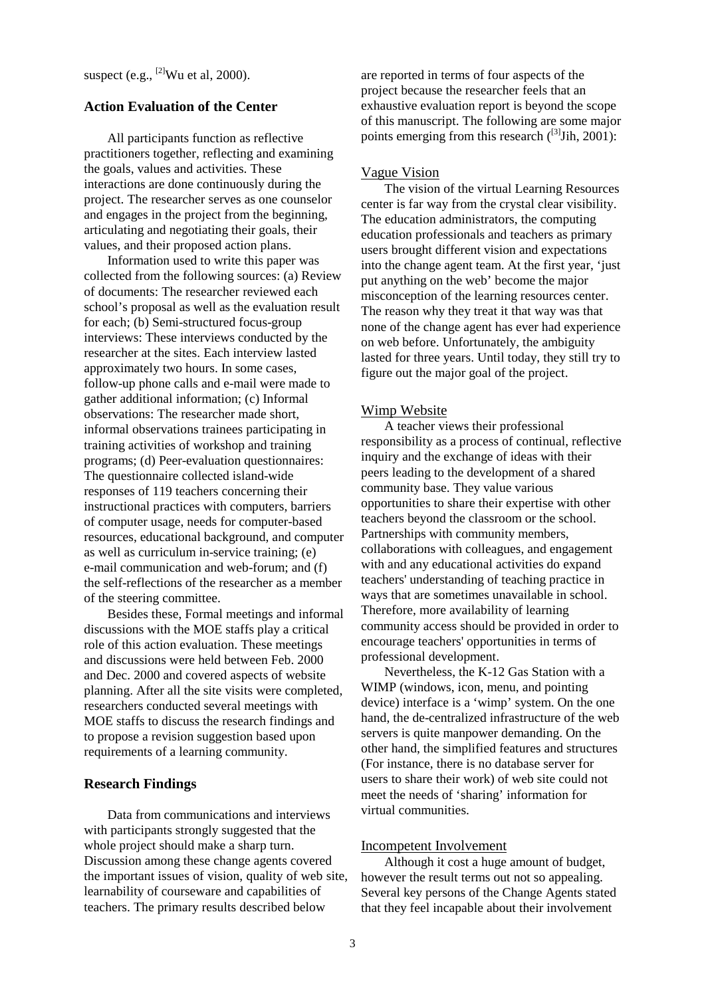### **Action Evaluation of the Center**

All participants function as reflective practitioners together, reflecting and examining the goals, values and activities. These interactions are done continuously during the project. The researcher serves as one counselor and engages in the project from the beginning, articulating and negotiating their goals, their values, and their proposed action plans.

Information used to write this paper was collected from the following sources: (a) Review of documents: The researcher reviewed each school's proposal as well as the evaluation result for each; (b) Semi-structured focus-group interviews: These interviews conducted by the researcher at the sites. Each interview lasted approximately two hours. In some cases, follow-up phone calls and e-mail were made to gather additional information; (c) Informal observations: The researcher made short, informal observations trainees participating in training activities of workshop and training programs; (d) Peer-evaluation questionnaires: The questionnaire collected island-wide responses of 119 teachers concerning their instructional practices with computers, barriers of computer usage, needs for computer-based resources, educational background, and computer as well as curriculum in-service training; (e) e-mail communication and web-forum; and (f) the self-reflections of the researcher as a member of the steering committee.

Besides these, Formal meetings and informal discussions with the MOE staffs play a critical role of this action evaluation. These meetings and discussions were held between Feb. 2000 and Dec. 2000 and covered aspects of website planning. After all the site visits were completed, researchers conducted several meetings with MOE staffs to discuss the research findings and to propose a revision suggestion based upon requirements of a learning community.

# **Research Findings**

Data from communications and interviews with participants strongly suggested that the whole project should make a sharp turn. Discussion among these change agents covered the important issues of vision, quality of web site, learnability of courseware and capabilities of teachers. The primary results described below

are reported in terms of four aspects of the project because the researcher feels that an exhaustive evaluation report is beyond the scope of this manuscript. The following are some major points emerging from this research  $(^{[3]}$ Jih, 2001):

#### Vague Vision

The vision of the virtual Learning Resources center is far way from the crystal clear visibility. The education administrators, the computing education professionals and teachers as primary users brought different vision and expectations into the change agent team. At the first year, 'just put anything on the web' become the major misconception of the learning resources center. The reason why they treat it that way was that none of the change agent has ever had experience on web before. Unfortunately, the ambiguity lasted for three years. Until today, they still try to figure out the major goal of the project.

### Wimp Website

A teacher views their professional responsibility as a process of continual, reflective inquiry and the exchange of ideas with their peers leading to the development of a shared community base. They value various opportunities to share their expertise with other teachers beyond the classroom or the school. Partnerships with community members, collaborations with colleagues, and engagement with and any educational activities do expand teachers' understanding of teaching practice in ways that are sometimes unavailable in school. Therefore, more availability of learning community access should be provided in order to encourage teachers' opportunities in terms of professional development.

Nevertheless, the K-12 Gas Station with a WIMP (windows, icon, menu, and pointing device) interface is a 'wimp' system. On the one hand, the de-centralized infrastructure of the web servers is quite manpower demanding. On the other hand, the simplified features and structures (For instance, there is no database server for users to share their work) of web site could not meet the needs of 'sharing' information for virtual communities.

#### Incompetent Involvement

Although it cost a huge amount of budget, however the result terms out not so appealing. Several key persons of the Change Agents stated that they feel incapable about their involvement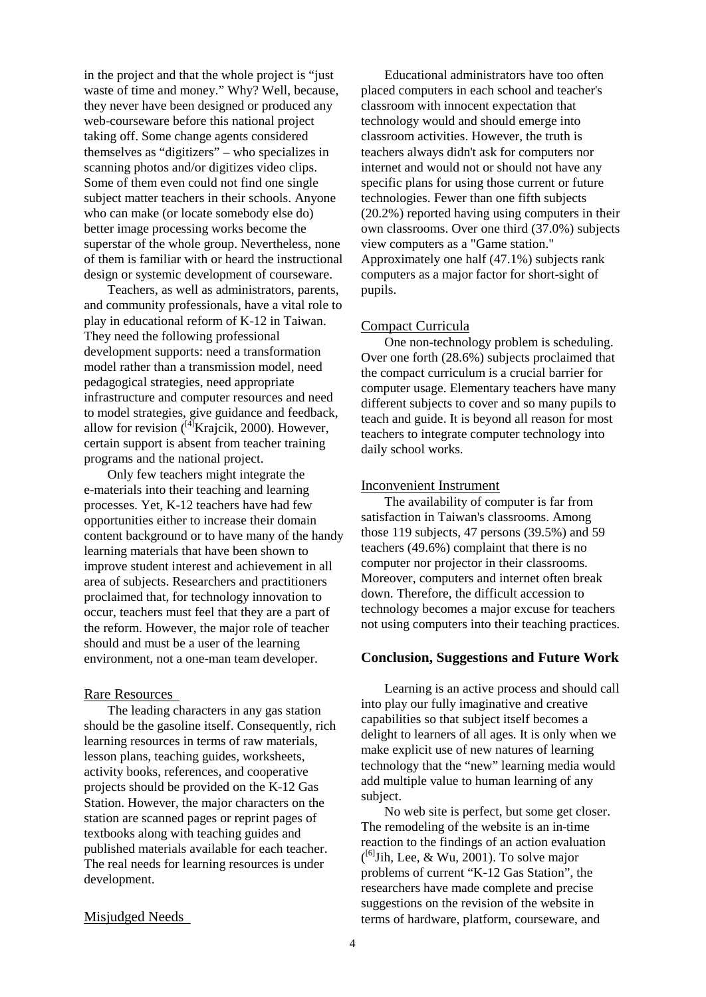in the project and that the whole project is "just waste of time and money." Why? Well, because, they never have been designed or produced any web-courseware before this national project taking off. Some change agents considered themselves as "digitizers" – who specializes in scanning photos and/or digitizes video clips. Some of them even could not find one single subject matter teachers in their schools. Anyone who can make (or locate somebody else do) better image processing works become the superstar of the whole group. Nevertheless, none of them is familiar with or heard the instructional design or systemic development of courseware.

Teachers, as well as administrators, parents, and community professionals, have a vital role to play in educational reform of K-12 in Taiwan. They need the following professional development supports: need a transformation model rather than a transmission model, need pedagogical strategies, need appropriate infrastructure and computer resources and need to model strategies, give guidance and feedback, allow for revision  $(^{[4]}$ Krajcik, 2000). However, certain support is absent from teacher training programs and the national project.

Only few teachers might integrate the e-materials into their teaching and learning processes. Yet, K-12 teachers have had few opportunities either to increase their domain content background or to have many of the handy learning materials that have been shown to improve student interest and achievement in all area of subjects. Researchers and practitioners proclaimed that, for technology innovation to occur, teachers must feel that they are a part of the reform. However, the major role of teacher should and must be a user of the learning environment, not a one-man team developer.

#### Rare Resources

The leading characters in any gas station should be the gasoline itself. Consequently, rich learning resources in terms of raw materials, lesson plans, teaching guides, worksheets, activity books, references, and cooperative projects should be provided on the K-12 Gas Station. However, the major characters on the station are scanned pages or reprint pages of textbooks along with teaching guides and published materials available for each teacher. The real needs for learning resources is under development.

# Educational administrators have too often placed computers in each school and teacher's classroom with innocent expectation that technology would and should emerge into classroom activities. However, the truth is teachers always didn't ask for computers nor internet and would not or should not have any specific plans for using those current or future technologies. Fewer than one fifth subjects (20.2%) reported having using computers in their own classrooms. Over one third (37.0%) subjects view computers as a "Game station." Approximately one half (47.1%) subjects rank computers as a major factor for short-sight of pupils.

#### Compact Curricula

One non-technology problem is scheduling. Over one forth (28.6%) subjects proclaimed that the compact curriculum is a crucial barrier for computer usage. Elementary teachers have many different subjects to cover and so many pupils to teach and guide. It is beyond all reason for most teachers to integrate computer technology into daily school works.

# Inconvenient Instrument

The availability of computer is far from satisfaction in Taiwan's classrooms. Among those 119 subjects, 47 persons (39.5%) and 59 teachers (49.6%) complaint that there is no computer nor projector in their classrooms. Moreover, computers and internet often break down. Therefore, the difficult accession to technology becomes a major excuse for teachers not using computers into their teaching practices.

# **Conclusion, Suggestions and Future Work**

Learning is an active process and should call into play our fully imaginative and creative capabilities so that subject itself becomes a delight to learners of all ages. It is only when we make explicit use of new natures of learning technology that the "new" learning media would add multiple value to human learning of any subject.

No web site is perfect, but some get closer. The remodeling of the website is an in-time reaction to the findings of an action evaluation  $\binom{[6]}{\text{Jih}}$ , Lee, & Wu, 2001). To solve major problems of current "K-12 Gas Station", the researchers have made complete and precise suggestions on the revision of the website in terms of hardware, platform, courseware, and

#### Misjudged Needs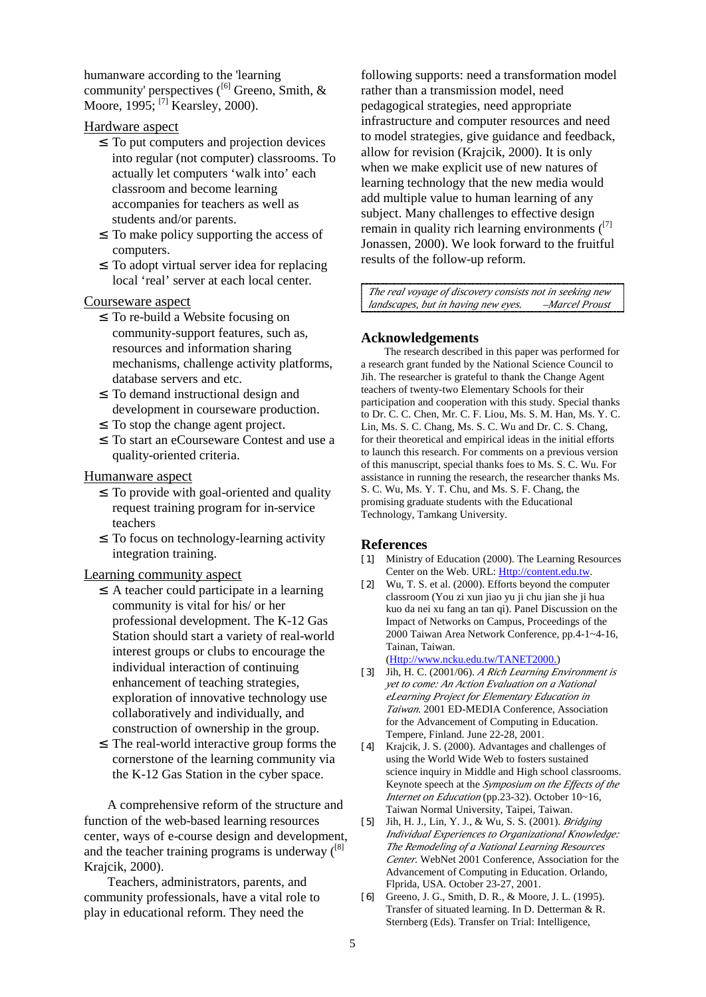humanware according to the 'learning community' perspectives  $\left(\begin{array}{c} \begin{array}{c} \begin{array}{c} \end{array} \\ \end{array} \right)$  Greeno, Smith, & Moore, 1995; <sup>[7]</sup> Kearsley, 2000).

# Hardware aspect

- I To put computers and projection devices into regular (not computer) classrooms. To actually let computers 'walk into' each classroom and become learning accompanies for teachers as well as students and/or parents.
- I To make policy supporting the access of computers.
- ² To adopt virtual server idea for replacing local 'real' server at each local center.

# Courseware aspect

- I To re-build a Website focusing on community-support features, such as, resources and information sharing mechanisms, challenge activity platforms, database servers and etc.
- I To demand instructional design and development in courseware production.
- I To stop the change agent project.
- ² To start an eCourseware Contest and use a quality-oriented criteria.

### Humanware aspect

- I To provide with goal-oriented and quality request training program for in-service teachers
- I To focus on technology-learning activity integration training.

## Learning community aspect

- $\hat{I}$  A teacher could participate in a learning community is vital for his/ or her professional development. The K-12 Gas Station should start a variety of real-world interest groups or clubs to encourage the individual interaction of continuing enhancement of teaching strategies, exploration of innovative technology use collaboratively and individually, and construction of ownership in the group.
- I The real-world interactive group forms the cornerstone of the learning community via the K-12 Gas Station in the cyber space.

A comprehensive reform of the structure and function of the web-based learning resources center, ways of e-course design and development, and the teacher training programs is underway  $\binom{[8]}{[8]}$ Krajcik, 2000).

Teachers, administrators, parents, and community professionals, have a vital role to play in educational reform. They need the

following supports: need a transformation model rather than a transmission model, need pedagogical strategies, need appropriate infrastructure and computer resources and need to model strategies, give guidance and feedback, allow for revision (Krajcik, 2000). It is only when we make explicit use of new natures of learning technology that the new media would add multiple value to human learning of any subject. Many challenges to effective design remain in quality rich learning environments  $(17)$ Jonassen, 2000). We look forward to the fruitful results of the follow-up reform.

*The real voyage of discovery consists not in seeking new landscapes, but in having new eyes. –Marcel Proust*

#### **Acknowledgements**

The research described in this paper was performed for a research grant funded by the National Science Council to Jih. The researcher is grateful to thank the Change Agent teachers of twenty-two Elementary Schools for their participation and cooperation with this study. Special thanks to Dr. C. C. Chen, Mr. C. F. Liou, Ms. S. M. Han, Ms. Y. C. Lin, Ms. S. C. Chang, Ms. S. C. Wu and Dr. C. S. Chang, for their theoretical and empirical ideas in the initial efforts to launch this research. For comments on a previous version of this manuscript, special thanks foes to Ms. S. C. Wu. For assistance in running the research, the researcher thanks Ms. S. C. Wu, Ms. Y. T. Chu, and Ms. S. F. Chang, the promising graduate students with the Educational Technology, Tamkang University.

#### **References**

- [1] Ministry of Education (2000). The Learning Resources Center on the Web. URL: Http://content.edu.tw.
- [2] Wu, T. S. et al. (2000). Efforts beyond the computer classroom (You zi xun jiao yu ji chu jian she ji hua kuo da nei xu fang an tan qi). Panel Discussion on the Impact of Networks on Campus, Proceedings of the 2000 Taiwan Area Network Conference, pp.4-1~4-16, Tainan, Taiwan. (Http://www.ncku.edu.tw/TANET2000.)
- [3] Jih, H. C. (2001/06). *A Rich Learning Environment is yet to come: An Action Evaluation on a National eLearning Project for Elementary Education in Taiwan*. 2001 ED-MEDIA Conference, Association for the Advancement of Computing in Education. Tempere, Finland. June 22-28, 2001.
- [4] Krajcik, J. S. (2000). Advantages and challenges of using the World Wide Web to fosters sustained science inquiry in Middle and High school classrooms. Keynote speech at the *Symposium on the Effects of the Internet on Education* (pp.23-32). October 10~16, Taiwan Normal University, Taipei, Taiwan.
- [5] Jih, H. J., Lin, Y. J., & Wu, S. S. (2001). *Bridging Individual Experiences to Organizational Knowledge: The Remodeling of a National Learning Resources Center*. WebNet 2001 Conference, Association for the Advancement of Computing in Education. Orlando, Flprida, USA. October 23-27, 2001.
- [6] Greeno, J. G., Smith, D. R., & Moore, J. L. (1995). Transfer of situated learning. In D. Detterman & R. Sternberg (Eds). Transfer on Trial: Intelligence,